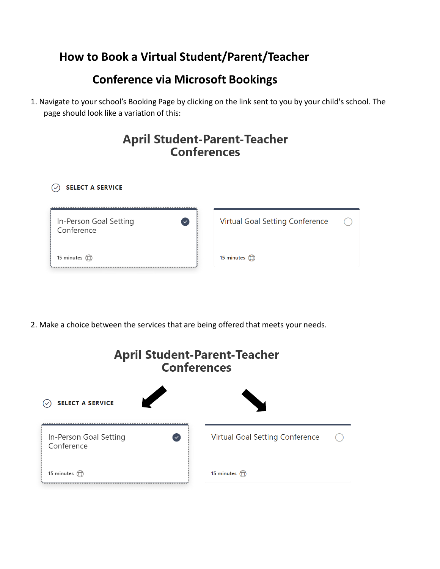## **How to Book a Virtual Student/Parent/Teacher**

## **Conference via Microsoft Bookings**

1. Navigate to your school's Booking Page by clicking on the link sent to you by your child's school. The page should look like a variation of this:

## **April Student-Parent-Teacher<br>Conferences**

 $\circledcirc$  SELECT A SERVICE

| In-Person Goal Setting<br>$\checkmark$<br>Conference | Virtual Goal Setting Conference |  |
|------------------------------------------------------|---------------------------------|--|
| 15 minutes $\langle \rangle$                         | 15 minutes $\binom{4}{12}$      |  |

2. Make a choice between the services that are being offered that meets your needs.

| <b>April Student-Parent-Teacher</b><br><b>Conferences</b> |                                 |  |  |  |  |  |  |  |
|-----------------------------------------------------------|---------------------------------|--|--|--|--|--|--|--|
| <b>SELECT A SERVICE</b>                                   |                                 |  |  |  |  |  |  |  |
| In-Person Goal Setting<br>$(\vee)$<br>Conference          | Virtual Goal Setting Conference |  |  |  |  |  |  |  |
| 15 minutes $\langle \rangle$                              | 15 minutes $\langle \rangle$    |  |  |  |  |  |  |  |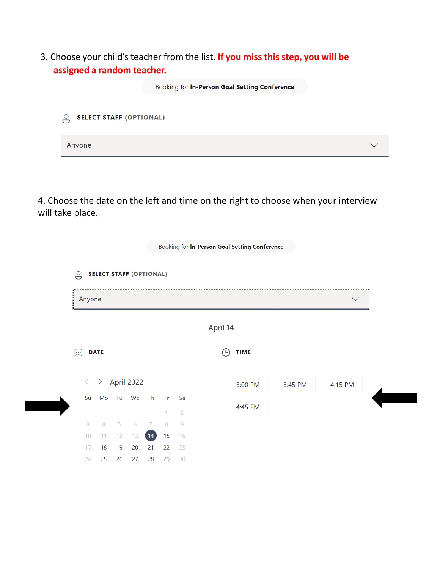3. Choose your child's teacher from the list. **If you miss this step, you will be assigned a random teacher.**

Booking for In-Person Goal Setting Conference

| မိ<br><b>SELECT STAFF (OPTIONAL)</b> |  |
|--------------------------------------|--|
| Anyone                               |  |

4. Choose the date on the left and time on the right to choose when your interview will take place.

| Anyone                                                       |    |            |      |     |    |          |             |         |         | $\checkmark$ |
|--------------------------------------------------------------|----|------------|------|-----|----|----------|-------------|---------|---------|--------------|
|                                                              |    |            |      |     |    |          |             |         |         |              |
|                                                              |    |            |      |     |    | April 14 |             |         |         |              |
| <b>DATE</b><br>$\Xi$                                         |    |            |      |     |    | ΊL,      | <b>TIME</b> |         |         |              |
|                                                              |    |            |      |     |    |          |             |         |         |              |
| $\left\langle \right\rangle$<br>$\left\langle \right\rangle$ |    | April 2022 |      |     |    |          | 3:00 PM     | 3:45 PM | 4:15 PM |              |
| Su<br>Mo                                                     | Tu | We         | Th   | Fr. | Sa |          |             |         |         |              |
|                                                              |    |            |      | 1   | 2  |          | 4:45 PM     |         |         |              |
| 3<br>$\overline{4}$                                          | -5 | 6          | 7    | 8   | 9  |          |             |         |         |              |
| 10<br>11                                                     | 12 | 13         | (14) | 15  | 16 |          |             |         |         |              |
| 17<br>18                                                     | 19 | 20         | 21   | 22  | 23 |          |             |         |         |              |
| 24<br>25                                                     | 26 | 27         | 28   | 29  | 30 |          |             |         |         |              |